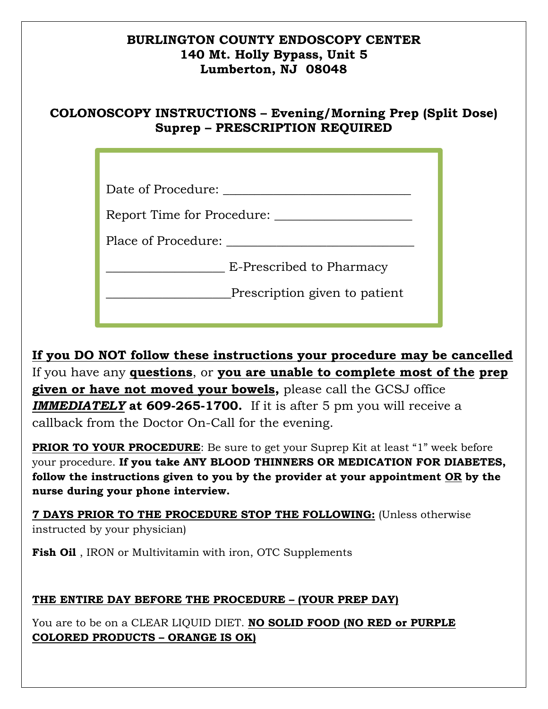#### **BURLINGTON COUNTY ENDOSCOPY CENTER 140 Mt. Holly Bypass, Unit 5 Lumberton, NJ 08048**

## **COLONOSCOPY INSTRUCTIONS – Evening/Morning Prep (Split Dose) Suprep – PRESCRIPTION REQUIRED**

| Date of Procedure:            |
|-------------------------------|
| Report Time for Procedure:    |
| Place of Procedure:           |
| E-Prescribed to Pharmacy      |
| Prescription given to patient |
|                               |

**If you DO NOT follow these instructions your procedure may be cancelled**  If you have any **questions**, or **you are unable to complete most of the prep given or have not moved your bowels,** please call the GCSJ office *IMMEDIATELY* **at 609-265-1700.** If it is after 5 pm you will receive a callback from the Doctor On-Call for the evening.

**PRIOR TO YOUR PROCEDURE:** Be sure to get your Suprep Kit at least "1" week before your procedure. **If you take ANY BLOOD THINNERS OR MEDICATION FOR DIABETES, follow the instructions given to you by the provider at your appointment OR by the nurse during your phone interview.** 

**7 DAYS PRIOR TO THE PROCEDURE STOP THE FOLLOWING:** (Unless otherwise instructed by your physician)

**Fish Oil** , IRON or Multivitamin with iron, OTC Supplements

### **THE ENTIRE DAY BEFORE THE PROCEDURE – (YOUR PREP DAY)**

You are to be on a CLEAR LIQUID DIET. **NO SOLID FOOD (NO RED or PURPLE COLORED PRODUCTS – ORANGE IS OK)**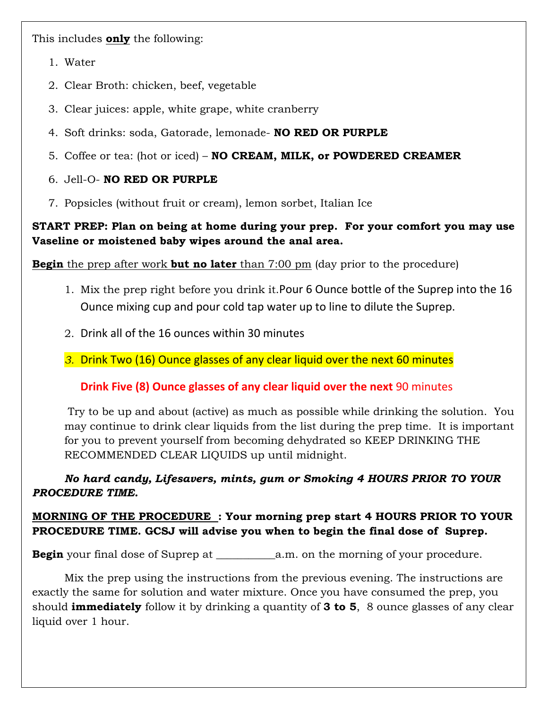This includes **only** the following:

- 1. Water
- 2. Clear Broth: chicken, beef, vegetable
- 3. Clear juices: apple, white grape, white cranberry
- 4. Soft drinks: soda, Gatorade, lemonade- **NO RED OR PURPLE**
- 5. Coffee or tea: (hot or iced) **NO CREAM, MILK, or POWDERED CREAMER**

#### 6. Jell-O- **NO RED OR PURPLE**

7. Popsicles (without fruit or cream), lemon sorbet, Italian Ice

#### **START PREP: Plan on being at home during your prep. For your comfort you may use Vaseline or moistened baby wipes around the anal area.**

**Begin** the prep after work **but no later** than 7:00 pm (day prior to the procedure)

- 1. Mix the prep right before you drink it.Pour 6 Ounce bottle of the Suprep into the 16 Ounce mixing cup and pour cold tap water up to line to dilute the Suprep.
- 2. Drink all of the 16 ounces within 30 minutes
- *3.* Drink Two (16) Ounce glasses of any clear liquid over the next 60 minutes

**Drink Five (8) Ounce glasses of any clear liquid over the next** 90 minutes

 Try to be up and about (active) as much as possible while drinking the solution. You may continue to drink clear liquids from the list during the prep time. It is important for you to prevent yourself from becoming dehydrated so KEEP DRINKING THE RECOMMENDED CLEAR LIQUIDS up until midnight.

*No hard candy, Lifesavers, mints, gum or Smoking 4 HOURS PRIOR TO YOUR PROCEDURE TIME.* 

#### **MORNING OF THE PROCEDURE : Your morning prep start 4 HOURS PRIOR TO YOUR PROCEDURE TIME. GCSJ will advise you when to begin the final dose of Suprep.**

**Begin** your final dose of Suprep at \_\_\_\_\_\_\_\_\_\_\_a.m. on the morning of your procedure.

 Mix the prep using the instructions from the previous evening. The instructions are exactly the same for solution and water mixture. Once you have consumed the prep, you should **immediately** follow it by drinking a quantity of **3 to 5**, 8 ounce glasses of any clear liquid over 1 hour.